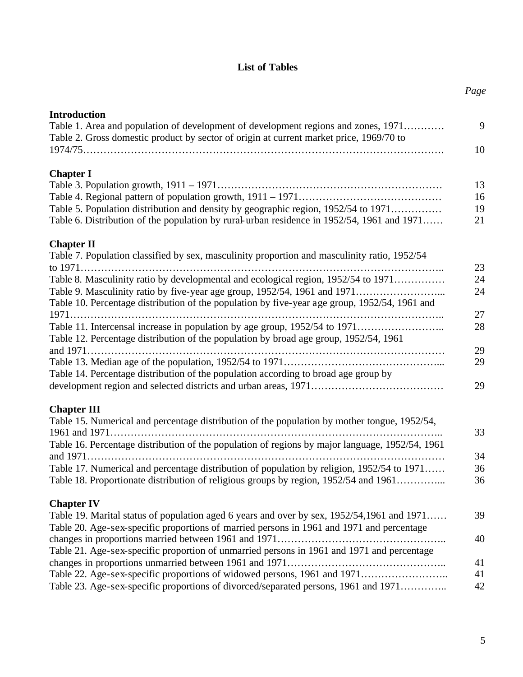#### **List of Tables**

| <b>Introduction</b>                                                                                                                                                 |
|---------------------------------------------------------------------------------------------------------------------------------------------------------------------|
| Table 1. Area and population of development of development regions and zones, 1971                                                                                  |
| Table 2. Gross domestic product by sector of origin at current market price, 1969/70 to                                                                             |
| <b>Chapter I</b>                                                                                                                                                    |
|                                                                                                                                                                     |
|                                                                                                                                                                     |
| Table 5. Population distribution and density by geographic region, 1952/54 to 1971                                                                                  |
| Table 6. Distribution of the population by rural-urban residence in 1952/54, 1961 and 1971                                                                          |
| <b>Chapter II</b>                                                                                                                                                   |
| Table 7. Population classified by sex, masculinity proportion and masculinity ratio, 1952/54                                                                        |
| Table 8. Masculinity ratio by developmental and ecological region, 1952/54 to 1971                                                                                  |
| Table 9. Masculinity ratio by five-year age group, 1952/54, 1961 and 1971                                                                                           |
| Table 10. Percentage distribution of the population by five-year age group, 1952/54, 1961 and                                                                       |
|                                                                                                                                                                     |
| Table 11. Intercensal increase in population by age group, 1952/54 to 1971<br>Table 12. Percentage distribution of the population by broad age group, 1952/54, 1961 |
|                                                                                                                                                                     |
|                                                                                                                                                                     |
| Table 14. Percentage distribution of the population according to broad age group by                                                                                 |
|                                                                                                                                                                     |
| <b>Chapter III</b>                                                                                                                                                  |
| Table 15. Numerical and percentage distribution of the population by mother tongue, 1952/54,                                                                        |
|                                                                                                                                                                     |
| Table 16. Percentage distribution of the population of regions by major language, 1952/54, 1961                                                                     |
| Table 17. Numerical and percentage distribution of population by religion, 1952/54 to 1971                                                                          |
| Table 18. Proportionate distribution of religious groups by region, 1952/54 and 1961                                                                                |
|                                                                                                                                                                     |
| <b>Chapter IV</b><br>Table 19. Marital status of population aged 6 years and over by sex, 1952/54,1961 and 1971                                                     |
| Table 20. Age-sex-specific proportions of married persons in 1961 and 1971 and percentage                                                                           |
|                                                                                                                                                                     |
| Table 21. Age-sex-specific proportion of unmarried persons in 1961 and 1971 and percentage                                                                          |
|                                                                                                                                                                     |
| Table 22. Age-sex-specific proportions of widowed persons, 1961 and 1971                                                                                            |
| Table 23. Age-sex-specific proportions of divorced/separated persons, 1961 and 1971                                                                                 |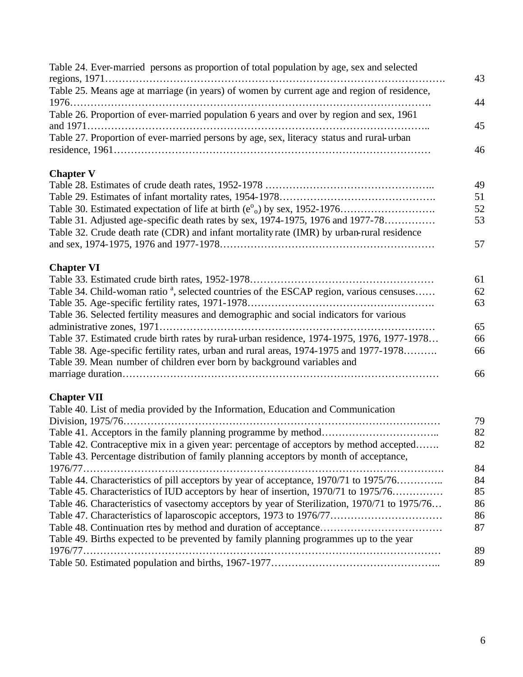| Table 24. Ever-married persons as proportion of total population by age, sex and selected           | 43 |
|-----------------------------------------------------------------------------------------------------|----|
| Table 25. Means age at marriage (in years) of women by current age and region of residence,         | 44 |
| Table 26. Proportion of ever-married population 6 years and over by region and sex, 1961            | 45 |
| Table 27. Proportion of ever-married persons by age, sex, literacy status and rural-urban           | 46 |
| <b>Chapter V</b>                                                                                    |    |
|                                                                                                     | 49 |
|                                                                                                     | 51 |
|                                                                                                     | 52 |
| Table 31. Adjusted age-specific death rates by sex, 1974-1975, 1976 and 1977-78                     | 53 |
| Table 32. Crude death rate (CDR) and infant mortality rate (IMR) by urban-rural residence           |    |
|                                                                                                     | 57 |
| <b>Chapter VI</b>                                                                                   |    |
|                                                                                                     | 61 |
| Table 34. Child-woman ratio <sup>a</sup> , selected countries of the ESCAP region, various censuses | 62 |
|                                                                                                     | 63 |
| Table 36. Selected fertility measures and demographic and social indicators for various             |    |
|                                                                                                     | 65 |
| Table 37. Estimated crude birth rates by rural-urban residence, 1974-1975, 1976, 1977-1978          | 66 |
|                                                                                                     |    |
| Table 38. Age-specific fertility rates, urban and rural areas, 1974-1975 and 1977-1978              | 66 |
| Table 39. Mean number of children ever born by background variables and                             | 66 |
|                                                                                                     |    |
| <b>Chapter VII</b>                                                                                  |    |
| Table 40. List of media provided by the Information, Education and Communication                    |    |
|                                                                                                     | 79 |
|                                                                                                     | 82 |
| Table 42. Contraceptive mix in a given year: percentage of acceptors by method accepted             | 82 |
| Table 43. Percentage distribution of family planning acceptors by month of acceptance,              |    |
|                                                                                                     | 84 |
| Table 44. Characteristics of pill acceptors by year of acceptance, 1970/71 to 1975/76               | 84 |
| Table 45. Characteristics of IUD acceptors by hear of insertion, 1970/71 to 1975/76                 | 85 |
| Table 46. Characteristics of vasectomy acceptors by year of Sterilization, 1970/71 to 1975/76       | 86 |
|                                                                                                     | 86 |
|                                                                                                     | 87 |
| Table 49. Births expected to be prevented by family planning programmes up to the year              |    |
| 1976/77                                                                                             | 89 |
|                                                                                                     | 89 |
|                                                                                                     |    |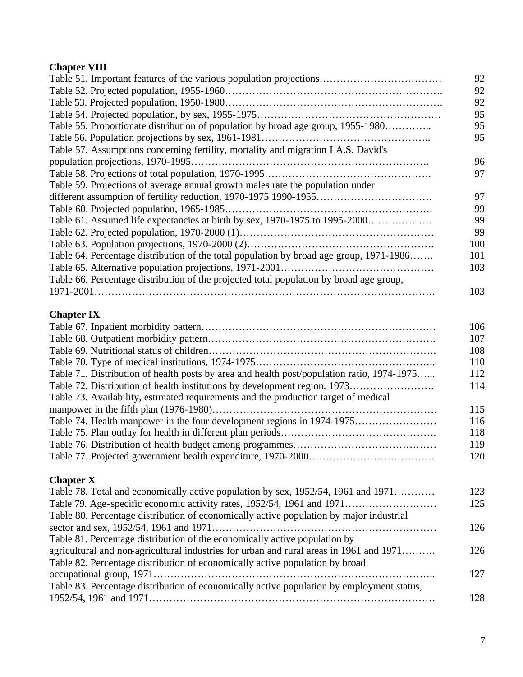## **Chapter VIII**

| Table 51. Important features of the various population projections                      | 92  |
|-----------------------------------------------------------------------------------------|-----|
|                                                                                         | 92  |
|                                                                                         | 92  |
|                                                                                         | 95  |
| Table 55. Proportionate distribution of population by broad age group, 1955-1980        | 95  |
|                                                                                         | 95  |
| Table 57. Assumptions concerning fertility, mortality and migration I A.S. David's      |     |
|                                                                                         | 96  |
|                                                                                         | 97  |
| Table 59. Projections of average annual growth males rate the population under          |     |
|                                                                                         | 97  |
|                                                                                         | 99  |
| Table 61. Assumed life expectancies at birth by sex, 1970-1975 to 1995-2000             | 99  |
|                                                                                         | 99  |
|                                                                                         | 100 |
| Table 64. Percentage distribution of the total population by broad age group, 1971-1986 | 101 |
|                                                                                         | 103 |
| Table 66. Percentage distribution of the projected total population by broad age group, |     |
|                                                                                         | 103 |
|                                                                                         |     |

## **Chapter IX**

|                                                                                            | 106 |
|--------------------------------------------------------------------------------------------|-----|
|                                                                                            | 107 |
|                                                                                            | 108 |
|                                                                                            | 110 |
| Table 71. Distribution of health posts by area and health post/population ratio, 1974-1975 | 112 |
| Table 72. Distribution of health institutions by development region. 1973                  | 114 |
| Table 73. Availability, estimated requirements and the production target of medical        |     |
|                                                                                            | 115 |
|                                                                                            | 116 |
|                                                                                            | 118 |
|                                                                                            | 119 |
|                                                                                            | 120 |

# **Chapter X**

| Table 78. Total and economically active population by sex, 1952/54, 1961 and 1971         | 123 |
|-------------------------------------------------------------------------------------------|-----|
|                                                                                           | 125 |
| Table 80. Percentage distribution of economically active population by major industrial   |     |
|                                                                                           | 126 |
| Table 81. Percentage distribution of the economically active population by                |     |
| agricultural and non-agricultural industries for urban and rural areas in 1961 and 1971   | 126 |
| Table 82. Percentage distribution of economically active population by broad              |     |
|                                                                                           | 127 |
| Table 83. Percentage distribution of economically active population by employment status, |     |
|                                                                                           | 128 |
|                                                                                           |     |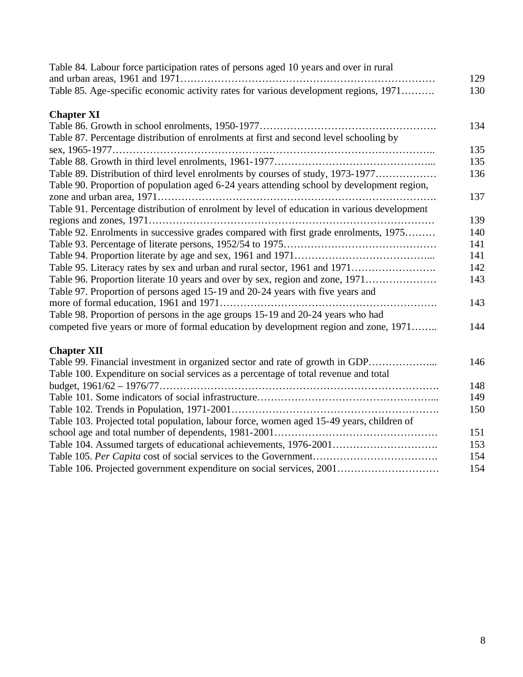| Table 84. Labour force participation rates of persons aged 10 years and over in rural       | 129 |
|---------------------------------------------------------------------------------------------|-----|
| Table 85. Age-specific economic activity rates for various development regions, 1971        | 130 |
| <b>Chapter XI</b>                                                                           |     |
|                                                                                             | 134 |
| Table 87. Percentage distribution of enrolments at first and second level schooling by      |     |
|                                                                                             | 135 |
|                                                                                             | 135 |
| Table 89. Distribution of third level enrolments by courses of study, 1973-1977             | 136 |
| Table 90. Proportion of population aged 6-24 years attending school by development region,  |     |
|                                                                                             | 137 |
| Table 91. Percentage distribution of enrolment by level of education in various development |     |
|                                                                                             | 139 |
| Table 92. Enrolments in successive grades compared with first grade enrolments, 1975        | 140 |
|                                                                                             | 141 |
|                                                                                             | 141 |
| Table 95. Literacy rates by sex and urban and rural sector, 1961 and 1971                   | 142 |
| Table 96. Proportion literate 10 years and over by sex, region and zone, 1971               | 143 |
| Table 97. Proportion of persons aged 15-19 and 20-24 years with five years and              |     |
|                                                                                             | 143 |
| Table 98. Proportion of persons in the age groups 15-19 and 20-24 years who had             |     |
| competed five years or more of formal education by development region and zone, 1971        | 144 |
| <b>Chapter XII</b>                                                                          |     |
| Table 99. Financial investment in organized sector and rate of growth in GDP                | 146 |
| Table 100. Expenditure on social services as a percentage of total revenue and total        |     |
|                                                                                             | 148 |
|                                                                                             | 149 |
|                                                                                             | 150 |
| Table 103. Projected total population, labour force, women aged 15-49 years, children of    |     |
|                                                                                             | 151 |
|                                                                                             | 153 |
|                                                                                             | 154 |
| Table 106. Projected government expenditure on social services, 2001                        | 154 |